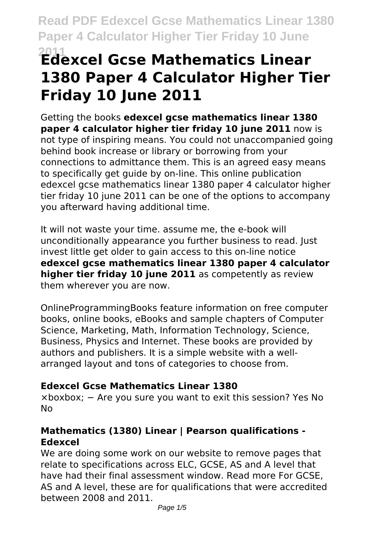# **<sup>2011</sup> Edexcel Gcse Mathematics Linear 1380 Paper 4 Calculator Higher Tier Friday 10 June 2011**

Getting the books **edexcel gcse mathematics linear 1380 paper 4 calculator higher tier friday 10 june 2011** now is not type of inspiring means. You could not unaccompanied going behind book increase or library or borrowing from your connections to admittance them. This is an agreed easy means to specifically get guide by on-line. This online publication edexcel gcse mathematics linear 1380 paper 4 calculator higher tier friday 10 june 2011 can be one of the options to accompany you afterward having additional time.

It will not waste your time. assume me, the e-book will unconditionally appearance you further business to read. Just invest little get older to gain access to this on-line notice **edexcel gcse mathematics linear 1380 paper 4 calculator higher tier friday 10 june 2011** as competently as review them wherever you are now.

OnlineProgrammingBooks feature information on free computer books, online books, eBooks and sample chapters of Computer Science, Marketing, Math, Information Technology, Science, Business, Physics and Internet. These books are provided by authors and publishers. It is a simple website with a wellarranged layout and tons of categories to choose from.

## **Edexcel Gcse Mathematics Linear 1380**

×boxbox; − Are you sure you want to exit this session? Yes No No

## **Mathematics (1380) Linear | Pearson qualifications - Edexcel**

We are doing some work on our website to remove pages that relate to specifications across ELC, GCSE, AS and A level that have had their final assessment window. Read more For GCSE, AS and A level, these are for qualifications that were accredited between 2008 and 2011.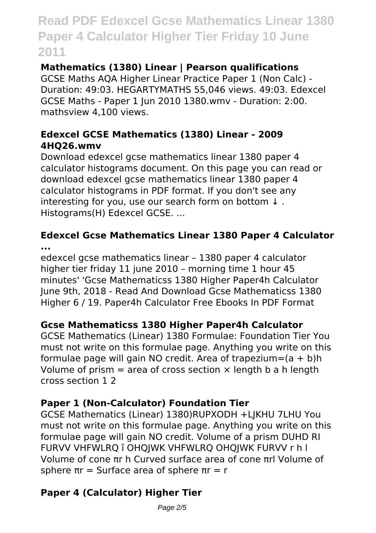## **Mathematics (1380) Linear | Pearson qualifications**

GCSE Maths AQA Higher Linear Practice Paper 1 (Non Calc) - Duration: 49:03. HEGARTYMATHS 55,046 views. 49:03. Edexcel GCSE Maths - Paper 1 Jun 2010 1380.wmv - Duration: 2:00. mathsview 4,100 views.

### **Edexcel GCSE Mathematics (1380) Linear - 2009 4HQ26.wmv**

Download edexcel gcse mathematics linear 1380 paper 4 calculator histograms document. On this page you can read or download edexcel gcse mathematics linear 1380 paper 4 calculator histograms in PDF format. If you don't see any interesting for you, use our search form on bottom ↓ . Histograms(H) Edexcel GCSE. ...

### **Edexcel Gcse Mathematics Linear 1380 Paper 4 Calculator ...**

edexcel gcse mathematics linear – 1380 paper 4 calculator higher tier friday 11 june 2010 – morning time 1 hour 45 minutes' 'Gcse Mathematicss 1380 Higher Paper4h Calculator June 9th, 2018 - Read And Download Gcse Mathematicss 1380 Higher 6 / 19. Paper4h Calculator Free Ebooks In PDF Format

## **Gcse Mathematicss 1380 Higher Paper4h Calculator**

GCSE Mathematics (Linear) 1380 Formulae: Foundation Tier You must not write on this formulae page. Anything you write on this formulae page will gain NO credit. Area of trapezium= $(a + b)h$ Volume of prism  $=$  area of cross section  $\times$  length b a h length cross section 1 2

## **Paper 1 (Non-Calculator) Foundation Tier**

GCSE Mathematics (Linear) 1380)RUPXODH +LJKHU 7LHU You must not write on this formulae page. Anything you write on this formulae page will gain NO credit. Volume of a prism DUHD RI FURVV VHFWLRQ î OHQJWK VHFWLRQ OHQJWK FURVV r h l Volume of cone πr h Curved surface area of cone πrl Volume of sphere  $πr =$  Surface area of sphere  $πr = r$ 

## **Paper 4 (Calculator) Higher Tier**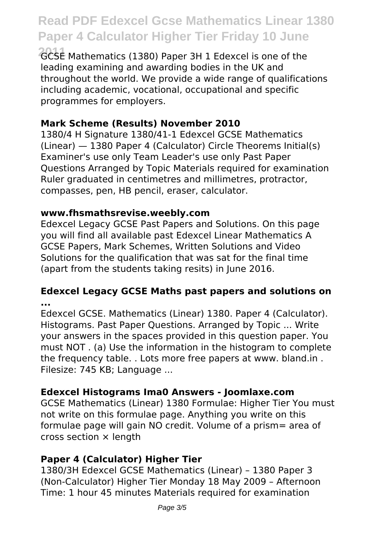**2011** GCSE Mathematics (1380) Paper 3H 1 Edexcel is one of the leading examining and awarding bodies in the UK and throughout the world. We provide a wide range of qualifications including academic, vocational, occupational and specific programmes for employers.

#### **Mark Scheme (Results) November 2010**

1380/4 H Signature 1380/41-1 Edexcel GCSE Mathematics (Linear) — 1380 Paper 4 (Calculator) Circle Theorems Initial(s) Examiner's use only Team Leader's use only Past Paper Questions Arranged by Topic Materials required for examination Ruler graduated in centimetres and millimetres, protractor, compasses, pen, HB pencil, eraser, calculator.

#### **www.fhsmathsrevise.weebly.com**

Edexcel Legacy GCSE Past Papers and Solutions. On this page you will find all available past Edexcel Linear Mathematics A GCSE Papers, Mark Schemes, Written Solutions and Video Solutions for the qualification that was sat for the final time (apart from the students taking resits) in June 2016.

#### **Edexcel Legacy GCSE Maths past papers and solutions on ...**

Edexcel GCSE. Mathematics (Linear) 1380. Paper 4 (Calculator). Histograms. Past Paper Questions. Arranged by Topic ... Write your answers in the spaces provided in this question paper. You must NOT . (a) Use the information in the histogram to complete the frequency table. . Lots more free papers at www. bland.in . Filesize: 745 KB; Language ...

### **Edexcel Histograms Ima0 Answers - Joomlaxe.com**

GCSE Mathematics (Linear) 1380 Formulae: Higher Tier You must not write on this formulae page. Anything you write on this formulae page will gain NO credit. Volume of a prism= area of cross section × length

### **Paper 4 (Calculator) Higher Tier**

1380/3H Edexcel GCSE Mathematics (Linear) – 1380 Paper 3 (Non-Calculator) Higher Tier Monday 18 May 2009 – Afternoon Time: 1 hour 45 minutes Materials required for examination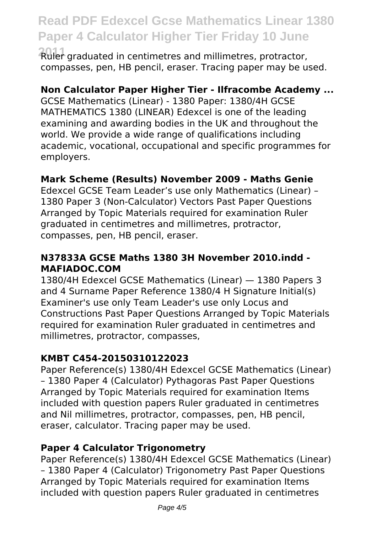**2011** Ruler graduated in centimetres and millimetres, protractor, compasses, pen, HB pencil, eraser. Tracing paper may be used.

#### **Non Calculator Paper Higher Tier - Ilfracombe Academy ...**

GCSE Mathematics (Linear) - 1380 Paper: 1380/4H GCSE MATHEMATICS 1380 (LINEAR) Edexcel is one of the leading examining and awarding bodies in the UK and throughout the world. We provide a wide range of qualifications including academic, vocational, occupational and specific programmes for employers.

#### **Mark Scheme (Results) November 2009 - Maths Genie**

Edexcel GCSE Team Leader's use only Mathematics (Linear) – 1380 Paper 3 (Non-Calculator) Vectors Past Paper Questions Arranged by Topic Materials required for examination Ruler graduated in centimetres and millimetres, protractor, compasses, pen, HB pencil, eraser.

#### **N37833A GCSE Maths 1380 3H November 2010.indd - MAFIADOC.COM**

1380/4H Edexcel GCSE Mathematics (Linear) — 1380 Papers 3 and 4 Surname Paper Reference 1380/4 H Signature Initial(s) Examiner's use only Team Leader's use only Locus and Constructions Past Paper Questions Arranged by Topic Materials required for examination Ruler graduated in centimetres and millimetres, protractor, compasses,

#### **KMBT C454-20150310122023**

Paper Reference(s) 1380/4H Edexcel GCSE Mathematics (Linear) – 1380 Paper 4 (Calculator) Pythagoras Past Paper Questions Arranged by Topic Materials required for examination Items included with question papers Ruler graduated in centimetres and Nil millimetres, protractor, compasses, pen, HB pencil, eraser, calculator. Tracing paper may be used.

#### **Paper 4 Calculator Trigonometry**

Paper Reference(s) 1380/4H Edexcel GCSE Mathematics (Linear) – 1380 Paper 4 (Calculator) Trigonometry Past Paper Questions Arranged by Topic Materials required for examination Items included with question papers Ruler graduated in centimetres